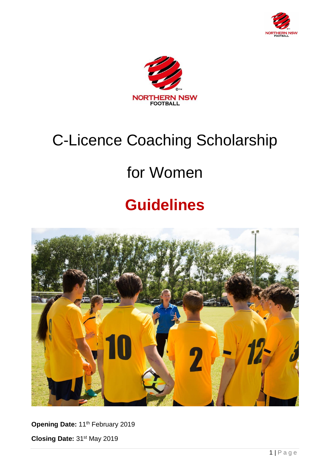



# C-Licence Coaching Scholarship

# for Women

# **Guidelines**



Opening Date: 11<sup>th</sup> February 2019

**Closing Date:** 31st May 2019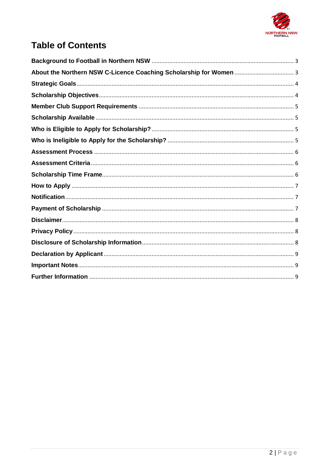

# **Table of Contents**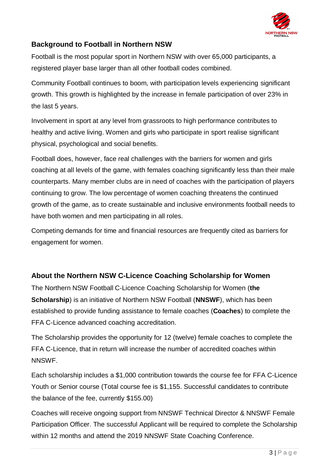

## <span id="page-2-0"></span>**Background to Football in Northern NSW**

Football is the most popular sport in Northern NSW with over 65,000 participants, a registered player base larger than all other football codes combined.

Community Football continues to boom, with participation levels experiencing significant growth. This growth is highlighted by the increase in female participation of over 23% in the last 5 years.

Involvement in sport at any level from grassroots to high performance contributes to healthy and active living. Women and girls who participate in sport realise significant physical, psychological and social benefits.

Football does, however, face real challenges with the barriers for women and girls coaching at all levels of the game, with females coaching significantly less than their male counterparts. Many member clubs are in need of coaches with the participation of players continuing to grow. The low percentage of women coaching threatens the continued growth of the game, as to create sustainable and inclusive environments football needs to have both women and men participating in all roles.

Competing demands for time and financial resources are frequently cited as barriers for engagement for women.

# <span id="page-2-1"></span>**About the Northern NSW C-Licence Coaching Scholarship for Women**

The Northern NSW Football C-Licence Coaching Scholarship for Women (**the Scholarship**) is an initiative of Northern NSW Football (**NNSWF**), which has been established to provide funding assistance to female coaches (**Coaches**) to complete the FFA C-Licence advanced coaching accreditation.

The Scholarship provides the opportunity for 12 (twelve) female coaches to complete the FFA C-Licence, that in return will increase the number of accredited coaches within NNSWF.

Each scholarship includes a \$1,000 contribution towards the course fee for FFA C-Licence Youth or Senior course (Total course fee is \$1,155. Successful candidates to contribute the balance of the fee, currently \$155.00)

Coaches will receive ongoing support from NNSWF Technical Director & NNSWF Female Participation Officer. The successful Applicant will be required to complete the Scholarship within 12 months and attend the 2019 NNSWF State Coaching Conference.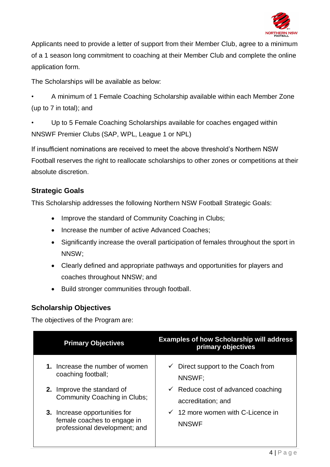

Applicants need to provide a letter of support from their Member Club, agree to a minimum of a 1 season long commitment to coaching at their Member Club and complete the online application form.

The Scholarships will be available as below:

• A minimum of 1 Female Coaching Scholarship available within each Member Zone (up to 7 in total); and

Up to 5 Female Coaching Scholarships available for coaches engaged within NNSWF Premier Clubs (SAP, WPL, League 1 or NPL)

If insufficient nominations are received to meet the above threshold's Northern NSW Football reserves the right to reallocate scholarships to other zones or competitions at their absolute discretion.

#### <span id="page-3-0"></span>**Strategic Goals**

This Scholarship addresses the following Northern NSW Football Strategic Goals:

- Improve the standard of Community Coaching in Clubs;
- Increase the number of active Advanced Coaches;
- Significantly increase the overall participation of females throughout the sport in NNSW;
- Clearly defined and appropriate pathways and opportunities for players and coaches throughout NNSW; and
- Build stronger communities through football.

#### <span id="page-3-1"></span>**Scholarship Objectives**

The objectives of the Program are:

| <b>Primary Objectives</b>                                                                     | <b>Examples of how Scholarship will address</b><br>primary objectives |
|-----------------------------------------------------------------------------------------------|-----------------------------------------------------------------------|
| 1. Increase the number of women<br>coaching football;                                         | Direct support to the Coach from<br>$\checkmark$<br>NNSWF:            |
| 2. Improve the standard of<br>Community Coaching in Clubs;                                    | $\checkmark$ Reduce cost of advanced coaching<br>accreditation; and   |
| 3. Increase opportunities for<br>female coaches to engage in<br>professional development; and | $\checkmark$ 12 more women with C-Licence in<br><b>NNSWF</b>          |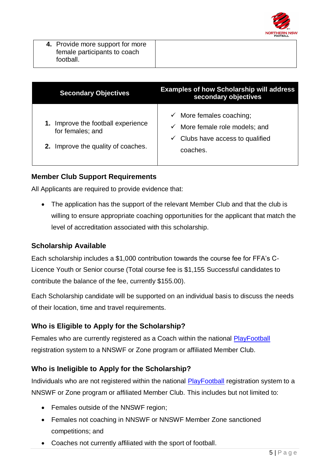

| 4. Provide more support for more |  |  |
|----------------------------------|--|--|
| female participants to coach     |  |  |
| football.                        |  |  |

| <b>Secondary Objectives</b>                                                               | <b>Examples of how Scholarship will address</b><br>secondary objectives                                                             |
|-------------------------------------------------------------------------------------------|-------------------------------------------------------------------------------------------------------------------------------------|
| Improve the football experience<br>for females; and<br>2. Improve the quality of coaches. | $\checkmark$ More females coaching;<br>More female role models; and<br>✓<br>$\checkmark$ Clubs have access to qualified<br>coaches. |

## <span id="page-4-0"></span>**Member Club Support Requirements**

All Applicants are required to provide evidence that:

• The application has the support of the relevant Member Club and that the club is willing to ensure appropriate coaching opportunities for the applicant that match the level of accreditation associated with this scholarship.

## <span id="page-4-1"></span>**Scholarship Available**

Each scholarship includes a \$1,000 contribution towards the course fee for FFA's C-Licence Youth or Senior course (Total course fee is \$1,155 Successful candidates to contribute the balance of the fee, currently \$155.00).

Each Scholarship candidate will be supported on an individual basis to discuss the needs of their location, time and travel requirements.

# <span id="page-4-2"></span>**Who is Eligible to Apply for the Scholarship?**

Females who are currently registered as a Coach within the national **PlayFootball** registration system to a NNSWF or Zone program or affiliated Member Club.

## <span id="page-4-3"></span>**Who is Ineligible to Apply for the Scholarship?**

Individuals who are not registered within the national [PlayFootball](https://www.playfootball.com.au/register) registration system to a NNSWF or Zone program or affiliated Member Club. This includes but not limited to:

- Females outside of the NNSWF region;
- Females not coaching in NNSWF or NNSWF Member Zone sanctioned competitions; and
- Coaches not currently affiliated with the sport of football.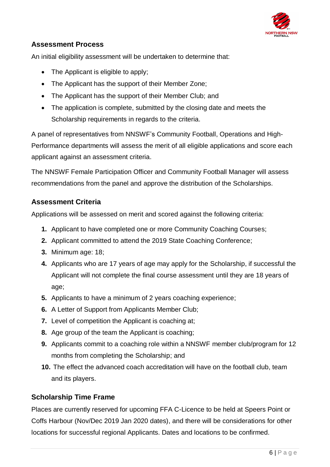

# <span id="page-5-0"></span>**Assessment Process**

An initial eligibility assessment will be undertaken to determine that:

- The Applicant is eligible to apply;
- The Applicant has the support of their Member Zone;
- The Applicant has the support of their Member Club; and
- The application is complete, submitted by the closing date and meets the Scholarship requirements in regards to the criteria.

A panel of representatives from NNSWF's Community Football, Operations and High-Performance departments will assess the merit of all eligible applications and score each applicant against an assessment criteria.

The NNSWF Female Participation Officer and Community Football Manager will assess recommendations from the panel and approve the distribution of the Scholarships.

# <span id="page-5-1"></span>**Assessment Criteria**

Applications will be assessed on merit and scored against the following criteria:

- **1.** Applicant to have completed one or more Community Coaching Courses;
- **2.** Applicant committed to attend the 2019 State Coaching Conference;
- **3.** Minimum age: 18;
- **4.** Applicants who are 17 years of age may apply for the Scholarship, if successful the Applicant will not complete the final course assessment until they are 18 years of age;
- **5.** Applicants to have a minimum of 2 years coaching experience;
- **6.** A Letter of Support from Applicants Member Club;
- **7.** Level of competition the Applicant is coaching at;
- **8.** Age group of the team the Applicant is coaching;
- **9.** Applicants commit to a coaching role within a NNSWF member club/program for 12 months from completing the Scholarship; and
- **10.** The effect the advanced coach accreditation will have on the football club, team and its players.

## <span id="page-5-2"></span>**Scholarship Time Frame**

Places are currently reserved for upcoming FFA C-Licence to be held at Speers Point or Coffs Harbour (Nov/Dec 2019 Jan 2020 dates), and there will be considerations for other locations for successful regional Applicants. Dates and locations to be confirmed.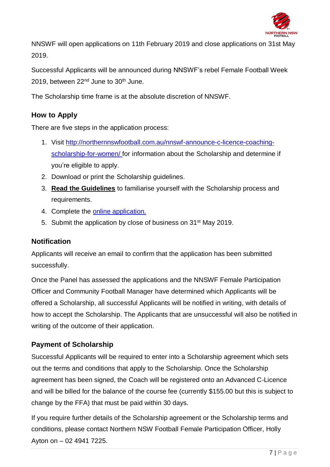

NNSWF will open applications on 11th February 2019 and close applications on 31st May 2019.

Successful Applicants will be announced during NNSWF's rebel Female Football Week 2019, between  $22<sup>nd</sup>$  June to  $30<sup>th</sup>$  June.

The Scholarship time frame is at the absolute discretion of NNSWF.

# <span id="page-6-0"></span>**How to Apply**

There are five steps in the application process:

- 1. Visit [http://northernnswfootball.com.au/nnswf-announce-c-licence-coaching](http://northernnswfootball.com.au/nnswf-announce-c-licence-coaching-scholarship-for-women/)[scholarship-for-women/](http://northernnswfootball.com.au/nnswf-announce-c-licence-coaching-scholarship-for-women/) for information about the Scholarship and determine if you're eligible to apply.
- 2. Download or print the Scholarship guidelines.
- 3. **Read the Guidelines** to familiarise yourself with the Scholarship process and requirements.
- 4. Complete the [online application.](https://form.jotform.co/90067554101853)
- 5. Submit the application by close of business on 31st May 2019.

#### <span id="page-6-1"></span>**Notification**

Applicants will receive an email to confirm that the application has been submitted successfully.

Once the Panel has assessed the applications and the NNSWF Female Participation Officer and Community Football Manager have determined which Applicants will be offered a Scholarship, all successful Applicants will be notified in writing, with details of how to accept the Scholarship. The Applicants that are unsuccessful will also be notified in writing of the outcome of their application.

## <span id="page-6-2"></span>**Payment of Scholarship**

Successful Applicants will be required to enter into a Scholarship agreement which sets out the terms and conditions that apply to the Scholarship. Once the Scholarship agreement has been signed, the Coach will be registered onto an Advanced C-Licence and will be billed for the balance of the course fee (currently \$155.00 but this is subject to change by the FFA) that must be paid within 30 days.

If you require further details of the Scholarship agreement or the Scholarship terms and conditions, please contact Northern NSW Football Female Participation Officer, Holly Ayton on – 02 4941 7225.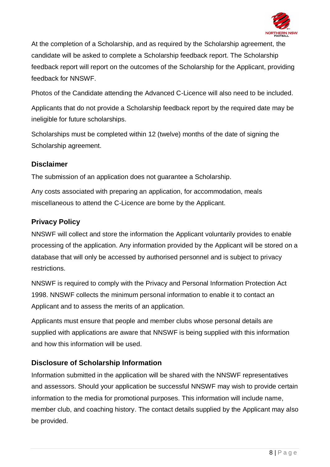

At the completion of a Scholarship, and as required by the Scholarship agreement, the candidate will be asked to complete a Scholarship feedback report. The Scholarship feedback report will report on the outcomes of the Scholarship for the Applicant, providing feedback for NNSWF.

Photos of the Candidate attending the Advanced C-Licence will also need to be included.

Applicants that do not provide a Scholarship feedback report by the required date may be ineligible for future scholarships.

Scholarships must be completed within 12 (twelve) months of the date of signing the Scholarship agreement.

#### <span id="page-7-0"></span>**Disclaimer**

The submission of an application does not guarantee a Scholarship.

Any costs associated with preparing an application, for accommodation, meals miscellaneous to attend the C-Licence are borne by the Applicant.

# <span id="page-7-1"></span>**Privacy Policy**

NNSWF will collect and store the information the Applicant voluntarily provides to enable processing of the application. Any information provided by the Applicant will be stored on a database that will only be accessed by authorised personnel and is subject to privacy restrictions.

NNSWF is required to comply with the Privacy and Personal Information Protection Act 1998. NNSWF collects the minimum personal information to enable it to contact an Applicant and to assess the merits of an application.

Applicants must ensure that people and member clubs whose personal details are supplied with applications are aware that NNSWF is being supplied with this information and how this information will be used.

# <span id="page-7-2"></span>**Disclosure of Scholarship Information**

Information submitted in the application will be shared with the NNSWF representatives and assessors. Should your application be successful NNSWF may wish to provide certain information to the media for promotional purposes. This information will include name, member club, and coaching history. The contact details supplied by the Applicant may also be provided.